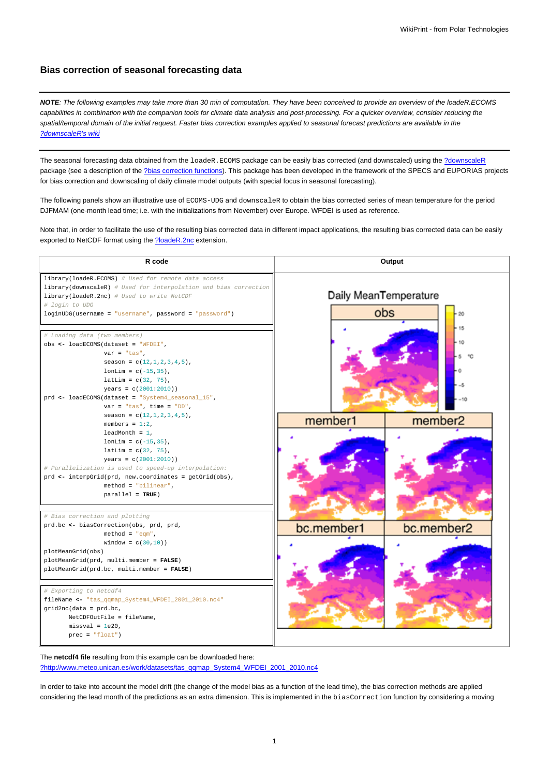## **Bias correction of seasonal forecasting data**

**NOTE**: The following examples may take more than 30 min of computation. They have been conceived to provide an overview of the loadeR.ECOMS capabilities in combination with the companion tools for climate data analysis and post-processing. For a quicker overview, consider reducing the spatial/temporal domain of the initial request. Faster bias correction examples applied to seasonal forecast predictions are available in the [?downscaleR's wiki](https://github.com/SantanderMetGroup/downscaleR/wiki/Application-to-Seasonal-Forecasts)

The seasonal forecasting data obtained from the loadeR. ECOMS package can be easily bias corrected (and downscaled) using the [?downscaleR](https://github.com/SantanderMetGroup/downscaleR/wiki) package (see a description of the [?bias correction functions](https://github.com/SantanderMetGroup/downscaleR/wiki/Bias-Correction-and-Model-Output-Statistics-(MOS))). This package has been developed in the framework of the SPECS and EUPORIAS projects for bias correction and downscaling of daily climate model outputs (with special focus in seasonal forecasting).

The following panels show an illustrative use of ECOMS-UDG and downscaleR to obtain the bias corrected series of mean temperature for the period DJFMAM (one-month lead time; i.e. with the initializations from November) over Europe. WFDEI is used as reference.

Note that, in order to facilitate the use of the resulting bias corrected data in different impact applications, the resulting bias corrected data can be easily exported to NetCDF format using the [?loadeR.2nc](https://github.com/SantanderMetGroup/loadeR.2nc) extension.



The **netcdf4 file** resulting from this example can be downloaded here: [?http://www.meteo.unican.es/work/datasets/tas\\_qqmap\\_System4\\_WFDEI\\_2001\\_2010.nc4](http://www.meteo.unican.es/work/datasets/tas_qqmap_System4_WFDEI_2001_2010.nc4)

In order to take into account the model drift (the change of the model bias as a function of the lead time), the bias correction methods are applied considering the lead month of the predictions as an extra dimension. This is implemented in the biasCorrection function by considering a moving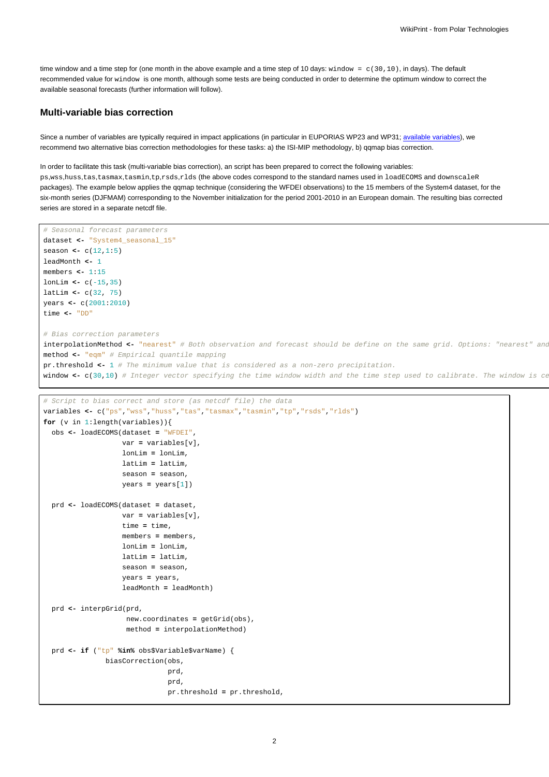time window and a time step for (one month in the above example and a time step of 10 days: window =  $c(30,10)$ , in days). The default recommended value for window is one month, although some tests are being conducted in order to determine the optimum window to correct the available seasonal forecasts (further information will follow).

## **Multi-variable bias correction**

Since a number of variables are typically required in impact applications (in particular in EUPORIAS WP23 and WP31; [available variables](https://meteo.unican.es/trac/wiki/udg/ecoms/dataserver/catalog)), we recommend two alternative bias correction methodologies for these tasks: a) the ISI-MIP methodology, b) qqmap bias correction.

In order to facilitate this task (multi-variable bias correction), an script has been prepared to correct the following variables:

ps,wss,huss,tas,tasmax,tasmin,tp,rsds,rlds (the above codes correspond to the standard names used in loadECOMS and downscaleR packages). The example below applies the qqmap technique (considering the WFDEI observations) to the 15 members of the System4 dataset, for the six-month series (DJFMAM) corresponding to the November initialization for the period 2001-2010 in an European domain. The resulting bias corrected series are stored in a separate netcdf file.

```
# Seasonal forecast parameters
dataset <- "System4_seasonal_15"
season <- c(12,1:5)
leadMonth <- 1
members <- 1:15
lonLim <- c(-15,35)
latLim <- c(32, 75)
years <- c(2001:2010)
time <- "DD"
# Bias correction parameters
interpolationMethod <- "nearest" # Both observation and forecast should be define on the same grid. Options: "nearest" and
method <- "eqm" # Empirical quantile mapping
pr.threshold <- 1 # The minimum value that is considered as a non-zero precipitation.
window <- c(30,10) # Integer vector specifying the time window width and the time step used to calibrate. The window is ce
# Script to bias correct and store (as netcdf file) the data
variables <- c("ps","wss","huss","tas","tasmax","tasmin","tp","rsds","rlds")
for (v in 1:length(variables)){
  obs <- loadECOMS(dataset = "WFDEI",
                   var = variables[v],
                   lonLim = lonLim,
                   latLim = latLim,
                   season = season,
                   years = years[1])
  prd <- loadECOMS(dataset = dataset,
                   var = variables[v],
                   time = time,
                   members = members,
                   lonLim = lonLim,
                   latLim = latLim,
                   season = season,
                   years = years,
                   leadMonth = leadMonth)
  prd <- interpGrid(prd,
                    new.coordinates = getGrid(obs),
                    method = interpolationMethod)
  prd <- if ("tp" %in% obs$Variable$varName) {
               biasCorrection(obs,
                              prd,
                              prd,
                              pr.threshold = pr.threshold,
```